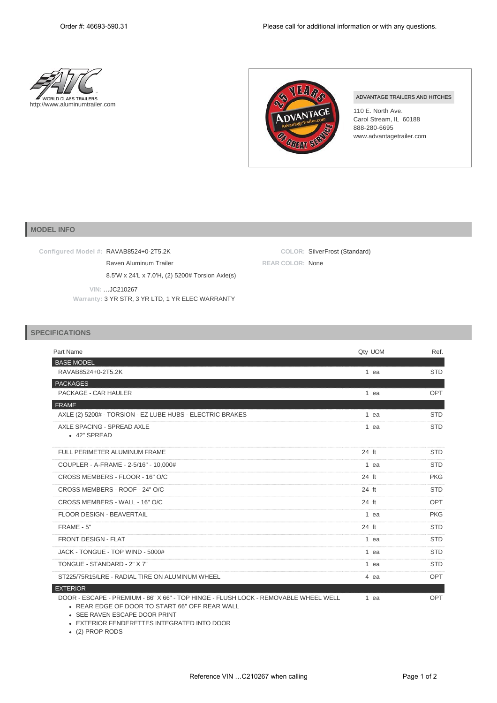



**COLOR:** SilverFrost (Standard)

**REAR COLOR:** None

## ADVANTAGE TRAILERS AND HITCHES

110 E. North Ave. Carol Stream, IL 60188 888-280-6695 www.advantagetrailer.com

## **MODEL INFO**

**Configured Model #:** RAVAB8524+0-2T5.2K

Raven Aluminum Trailer

8.5'W x 24'L x 7.0'H, (2) 5200# Torsion Axle(s)

 **VIN:** …JC210267

**Warranty:** 3 YR STR, 3 YR LTD, 1 YR ELEC WARRANTY

## **SPECIFICATIONS**

| Part Name                                                                                                                             | Qty UOM | Ref.       |
|---------------------------------------------------------------------------------------------------------------------------------------|---------|------------|
| <b>BASE MODEL</b>                                                                                                                     |         |            |
| RAVAB8524+0-2T5.2K                                                                                                                    | 1 ea    | <b>STD</b> |
| <b>PACKAGES</b>                                                                                                                       |         |            |
| PACKAGE - CAR HAULER                                                                                                                  | 1 ea    | <b>OPT</b> |
| <b>FRAME</b>                                                                                                                          |         |            |
| AXLE (2) 5200# - TORSION - EZ LUBE HUBS - ELECTRIC BRAKES                                                                             | $1$ ea  | <b>STD</b> |
| AXLE SPACING - SPREAD AXLE<br>• 42" SPREAD                                                                                            | 1 ea    | <b>STD</b> |
| FULL PERIMETER ALUMINUM FRAME                                                                                                         | 24 ft   | <b>STD</b> |
| COUPLER - A-FRAME - 2-5/16" - 10,000#                                                                                                 | 1 ea    | <b>STD</b> |
| CROSS MEMBERS - FLOOR - 16" O/C                                                                                                       | 24 ft   | <b>PKG</b> |
| CROSS MEMBERS - ROOF - 24" O/C                                                                                                        | 24 ft   | <b>STD</b> |
| CROSS MEMBERS - WALL - 16" O/C                                                                                                        | 24 ft   | <b>OPT</b> |
| <b>FLOOR DESIGN - BEAVERTAIL</b>                                                                                                      | 1 ea    | <b>PKG</b> |
| FRAME - 5"                                                                                                                            | 24 ft   | <b>STD</b> |
| <b>FRONT DESIGN - FLAT</b>                                                                                                            | 1 ea    | <b>STD</b> |
| JACK - TONGUE - TOP WIND - 5000#                                                                                                      | 1 ea    | <b>STD</b> |
| TONGUE - STANDARD - 2" X 7"                                                                                                           | 1 ea    | <b>STD</b> |
| ST225/75R15/LRE - RADIAL TIRE ON ALUMINUM WHEEL                                                                                       | 4 ea    | <b>OPT</b> |
| <b>EXTERIOR</b>                                                                                                                       |         |            |
| DOOR - ESCAPE - PREMIUM - 86" X 66" - TOP HINGE - FLUSH LOCK - REMOVABLE WHEEL WELL<br>• REAR EDGE OF DOOR TO START 66" OFF REAR WALL | 1 ea    | <b>OPT</b> |

SEE RAVEN ESCAPE DOOR PRINT EXTERIOR FENDERETTES INTEGRATED INTO DOOR

(2) PROP RODS